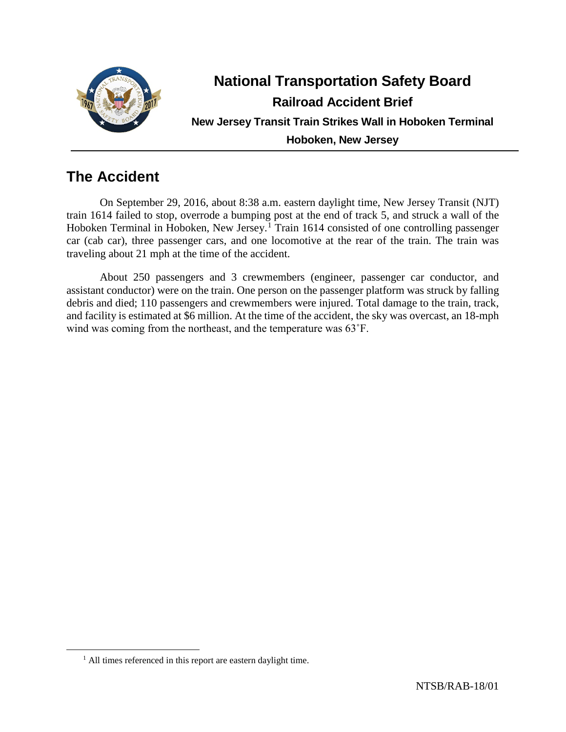

# **National Transportation Safety Board Railroad Accident Brief New Jersey Transit Train Strikes Wall in Hoboken Terminal Hoboken, New Jersey**

# **The Accident**

On September 29, 2016, about 8:38 a.m. eastern daylight time, New Jersey Transit (NJT) train 1614 failed to stop, overrode a bumping post at the end of track 5, and struck a wall of the Hoboken Terminal in Hoboken, New Jersey.<sup>[1](#page-0-0)</sup> Train 1614 consisted of one controlling passenger car (cab car), three passenger cars, and one locomotive at the rear of the train. The train was traveling about 21 mph at the time of the accident.

About 250 passengers and 3 crewmembers (engineer, passenger car conductor, and assistant conductor) were on the train. One person on the passenger platform was struck by falling debris and died; 110 passengers and crewmembers were injured. Total damage to the train, track, and facility is estimated at \$6 million. At the time of the accident, the sky was overcast, an 18-mph wind was coming from the northeast, and the temperature was 63˚F.

<span id="page-0-0"></span><sup>&</sup>lt;sup>1</sup> All times referenced in this report are eastern daylight time.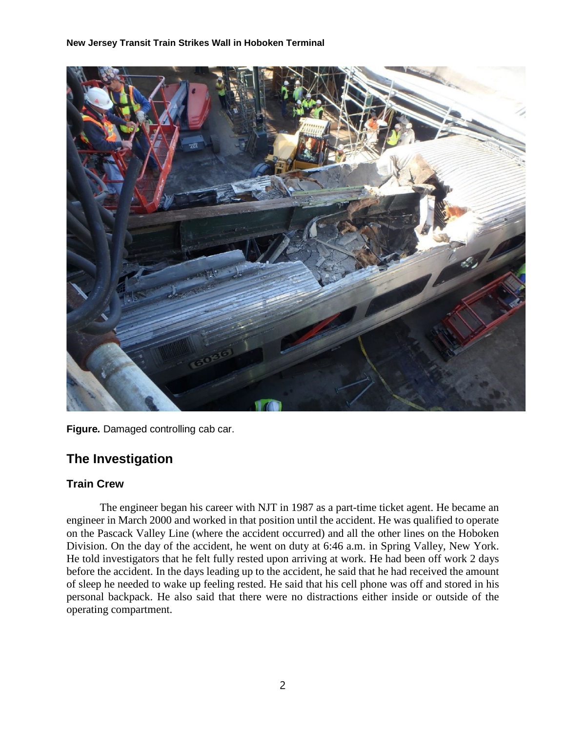

**Figure***.* Damaged controlling cab car.

# **The Investigation**

## **Train Crew**

The engineer began his career with NJT in 1987 as a part-time ticket agent. He became an engineer in March 2000 and worked in that position until the accident. He was qualified to operate on the Pascack Valley Line (where the accident occurred) and all the other lines on the Hoboken Division. On the day of the accident, he went on duty at 6:46 a.m. in Spring Valley, New York. He told investigators that he felt fully rested upon arriving at work. He had been off work 2 days before the accident. In the days leading up to the accident, he said that he had received the amount of sleep he needed to wake up feeling rested. He said that his cell phone was off and stored in his personal backpack. He also said that there were no distractions either inside or outside of the operating compartment.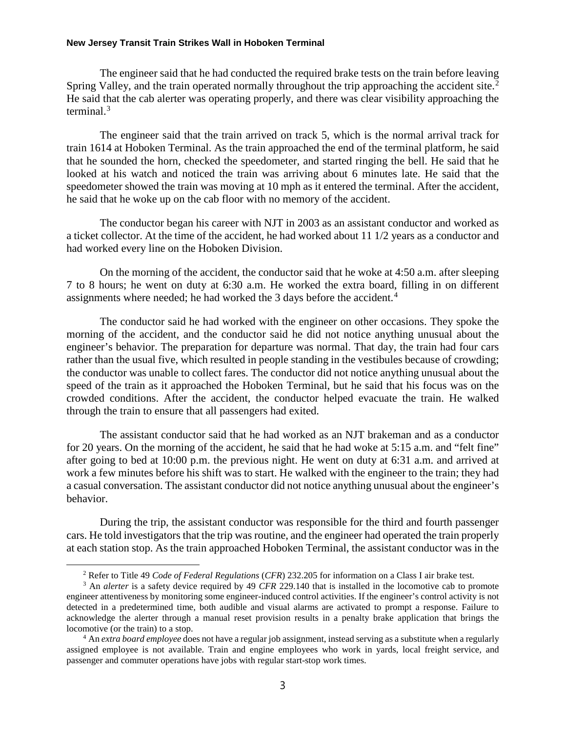The engineer said that he had conducted the required brake tests on the train before leaving Spring Valley, and the train operated normally throughout the trip approaching the accident site.<sup>[2](#page-2-0)</sup> He said that the cab alerter was operating properly, and there was clear visibility approaching the terminal.[3](#page-2-1)

The engineer said that the train arrived on track 5, which is the normal arrival track for train 1614 at Hoboken Terminal. As the train approached the end of the terminal platform, he said that he sounded the horn, checked the speedometer, and started ringing the bell. He said that he looked at his watch and noticed the train was arriving about 6 minutes late. He said that the speedometer showed the train was moving at 10 mph as it entered the terminal. After the accident, he said that he woke up on the cab floor with no memory of the accident.

The conductor began his career with NJT in 2003 as an assistant conductor and worked as a ticket collector. At the time of the accident, he had worked about 11 1/2 years as a conductor and had worked every line on the Hoboken Division.

On the morning of the accident, the conductor said that he woke at 4:50 a.m. after sleeping 7 to 8 hours; he went on duty at 6:30 a.m. He worked the extra board, filling in on different assignments where needed; he had worked the 3 days before the accident.<sup>[4](#page-2-2)</sup>

The conductor said he had worked with the engineer on other occasions. They spoke the morning of the accident, and the conductor said he did not notice anything unusual about the engineer's behavior. The preparation for departure was normal. That day, the train had four cars rather than the usual five, which resulted in people standing in the vestibules because of crowding; the conductor was unable to collect fares. The conductor did not notice anything unusual about the speed of the train as it approached the Hoboken Terminal, but he said that his focus was on the crowded conditions. After the accident, the conductor helped evacuate the train. He walked through the train to ensure that all passengers had exited.

The assistant conductor said that he had worked as an NJT brakeman and as a conductor for 20 years. On the morning of the accident, he said that he had woke at 5:15 a.m. and "felt fine" after going to bed at 10:00 p.m. the previous night. He went on duty at 6:31 a.m. and arrived at work a few minutes before his shift was to start. He walked with the engineer to the train; they had a casual conversation. The assistant conductor did not notice anything unusual about the engineer's behavior.

During the trip, the assistant conductor was responsible for the third and fourth passenger cars. He told investigators that the trip was routine, and the engineer had operated the train properly at each station stop. As the train approached Hoboken Terminal, the assistant conductor was in the

 <sup>2</sup> Refer to Title 49 *Code of Federal Regulations* (*CFR*) 232.205 for information on a Class I air brake test.

<span id="page-2-1"></span><span id="page-2-0"></span><sup>3</sup> An *alerter* is a safety device required by 49 *CFR* 229.140 that is installed in the locomotive cab to promote engineer attentiveness by monitoring some engineer-induced control activities. If the engineer's control activity is not detected in a predetermined time, both audible and visual alarms are activated to prompt a response. Failure to acknowledge the alerter through a manual reset provision results in a penalty brake application that brings the locomotive (or the train) to a stop.

<span id="page-2-2"></span><sup>4</sup> An *extra board employee* does not have a regular job assignment, instead serving as a substitute when a regularly assigned employee is not available. Train and engine employees who work in yards, local freight service, and passenger and commuter operations have jobs with regular start-stop work times.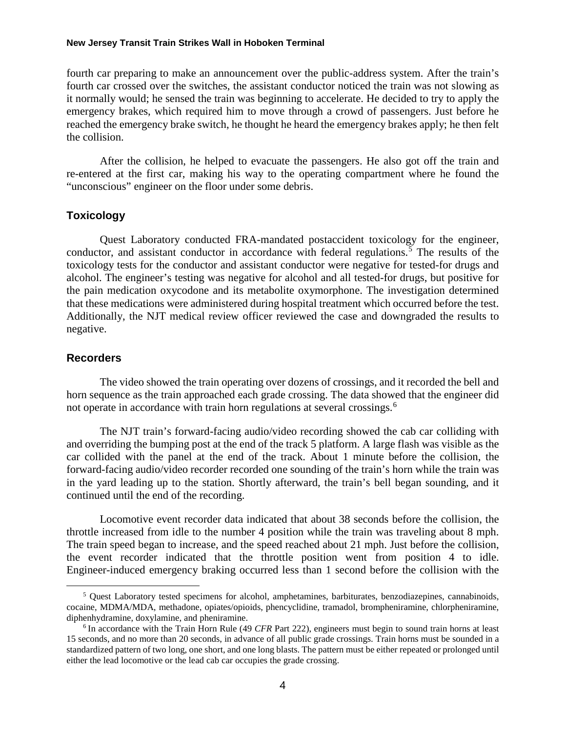fourth car preparing to make an announcement over the public-address system. After the train's fourth car crossed over the switches, the assistant conductor noticed the train was not slowing as it normally would; he sensed the train was beginning to accelerate. He decided to try to apply the emergency brakes, which required him to move through a crowd of passengers. Just before he reached the emergency brake switch, he thought he heard the emergency brakes apply; he then felt the collision.

After the collision, he helped to evacuate the passengers. He also got off the train and re-entered at the first car, making his way to the operating compartment where he found the "unconscious" engineer on the floor under some debris.

#### **Toxicology**

Quest Laboratory conducted FRA-mandated postaccident toxicology for the engineer, conductor, and assistant conductor in accordance with federal regulations.<sup>[5](#page-3-0)</sup> The results of the toxicology tests for the conductor and assistant conductor were negative for tested-for drugs and alcohol. The engineer's testing was negative for alcohol and all tested-for drugs, but positive for the pain medication oxycodone and its metabolite oxymorphone. The investigation determined that these medications were administered during hospital treatment which occurred before the test. Additionally, the NJT medical review officer reviewed the case and downgraded the results to negative.

## **Recorders**

The video showed the train operating over dozens of crossings, and it recorded the bell and horn sequence as the train approached each grade crossing. The data showed that the engineer did not operate in accordance with train horn regulations at several crossings.<sup>[6](#page-3-1)</sup>

The NJT train's forward-facing audio/video recording showed the cab car colliding with and overriding the bumping post at the end of the track 5 platform. A large flash was visible as the car collided with the panel at the end of the track. About 1 minute before the collision, the forward-facing audio/video recorder recorded one sounding of the train's horn while the train was in the yard leading up to the station. Shortly afterward, the train's bell began sounding, and it continued until the end of the recording.

Locomotive event recorder data indicated that about 38 seconds before the collision, the throttle increased from idle to the number 4 position while the train was traveling about 8 mph. The train speed began to increase, and the speed reached about 21 mph. Just before the collision, the event recorder indicated that the throttle position went from position 4 to idle. Engineer-induced emergency braking occurred less than 1 second before the collision with the

<span id="page-3-0"></span> $5$  Quest Laboratory tested specimens for alcohol, amphetamines, barbiturates, benzodiazepines, cannabinoids, cocaine, MDMA/MDA, methadone, opiates/opioids, phencyclidine, tramadol, brompheniramine, chlorpheniramine, diphenhydramine, doxylamine, and pheniramine.

<span id="page-3-1"></span><sup>6</sup> In accordance with the Train Horn Rule (49 *CFR* Part 222), engineers must begin to sound train horns at least 15 seconds, and no more than 20 seconds, in advance of all public grade crossings. Train horns must be sounded in a standardized pattern of two long, one short, and one long blasts. The pattern must be either repeated or prolonged until either the lead locomotive or the lead cab car occupies the grade crossing.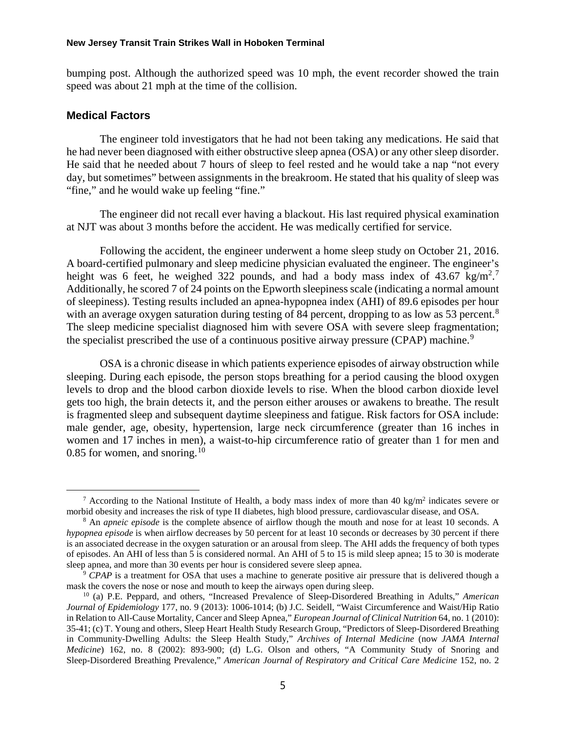bumping post. Although the authorized speed was 10 mph, the event recorder showed the train speed was about 21 mph at the time of the collision.

#### **Medical Factors**

The engineer told investigators that he had not been taking any medications. He said that he had never been diagnosed with either obstructive sleep apnea (OSA) or any other sleep disorder. He said that he needed about 7 hours of sleep to feel rested and he would take a nap "not every day, but sometimes" between assignments in the breakroom. He stated that his quality of sleep was "fine," and he would wake up feeling "fine."

The engineer did not recall ever having a blackout. His last required physical examination at NJT was about 3 months before the accident. He was medically certified for service.

Following the accident, the engineer underwent a home sleep study on October 21, 2016. A board-certified pulmonary and sleep medicine physician evaluated the engineer. The engineer's height was 6 feet, he weighed 322 pounds, and had a body mass index of 43.6[7](#page-4-0) kg/m<sup>2</sup>.<sup>7</sup> Additionally, he scored 7 of 24 points on the Epworth sleepiness scale (indicating a normal amount of sleepiness). Testing results included an apnea-hypopnea index (AHI) of 89.6 episodes per hour with an average oxygen saturation during testing of [8](#page-4-1)4 percent, dropping to as low as 53 percent.<sup>8</sup> The sleep medicine specialist diagnosed him with severe OSA with severe sleep fragmentation; the specialist prescribed the use of a continuous positive airway pressure (CPAP) machine.<sup>[9](#page-4-2)</sup>

OSA is a chronic disease in which patients experience episodes of airway obstruction while sleeping. During each episode, the person stops breathing for a period causing the blood oxygen levels to drop and the blood carbon dioxide levels to rise. When the blood carbon dioxide level gets too high, the brain detects it, and the person either arouses or awakens to breathe. The result is fragmented sleep and subsequent daytime sleepiness and fatigue. Risk factors for OSA include: male gender, age, obesity, hypertension, large neck circumference (greater than 16 inches in women and 17 inches in men), a waist-to-hip circumference ratio of greater than 1 for men and 0.85 for women, and snoring. $10$ 

<span id="page-4-0"></span><sup>&</sup>lt;sup>7</sup> According to the National Institute of Health, a body mass index of more than 40 kg/m<sup>2</sup> indicates severe or morbid obesity and increases the risk of type II diabetes, high blood pressure, cardiovascular disease, and OSA.

<span id="page-4-1"></span><sup>8</sup> An *apneic episode* is the complete absence of airflow though the mouth and nose for at least 10 seconds. A *hypopnea episode* is when airflow decreases by 50 percent for at least 10 seconds or decreases by 30 percent if there is an associated decrease in the oxygen saturation or an arousal from sleep. The AHI adds the frequency of both types of episodes. An AHI of less than 5 is considered normal. An AHI of 5 to 15 is mild sleep apnea; 15 to 30 is moderate sleep apnea, and more than 30 events per hour is considered severe sleep apnea.

<span id="page-4-2"></span><sup>9</sup> *CPAP* is a treatment for OSA that uses a machine to generate positive air pressure that is delivered though a mask the covers the nose or nose and mouth to keep the airways open during sleep.

<span id="page-4-3"></span><sup>10</sup> (a) P.E. Peppard, and others, "Increased Prevalence of Sleep-Disordered Breathing in Adults," *American Journal of Epidemiology* 177, no. 9 (2013): 1006-1014; (b) J.C. Seidell, "Waist Circumference and Waist/Hip Ratio in Relation to All-Cause Mortality, Cancer and Sleep Apnea," *European Journal of Clinical Nutrition* 64, no. 1 (2010): 35-41; (c) T. Young and others, Sleep Heart Health Study Research Group, "Predictors of Sleep-Disordered Breathing in Community-Dwelling Adults: the Sleep Health Study," *Archives of Internal Medicine* (now *JAMA Internal Medicine*) 162, no. 8 (2002): 893-900; (d) L.G. Olson and others, "A Community Study of Snoring and Sleep-Disordered Breathing Prevalence," *American Journal of Respiratory and Critical Care Medicine* 152, no. 2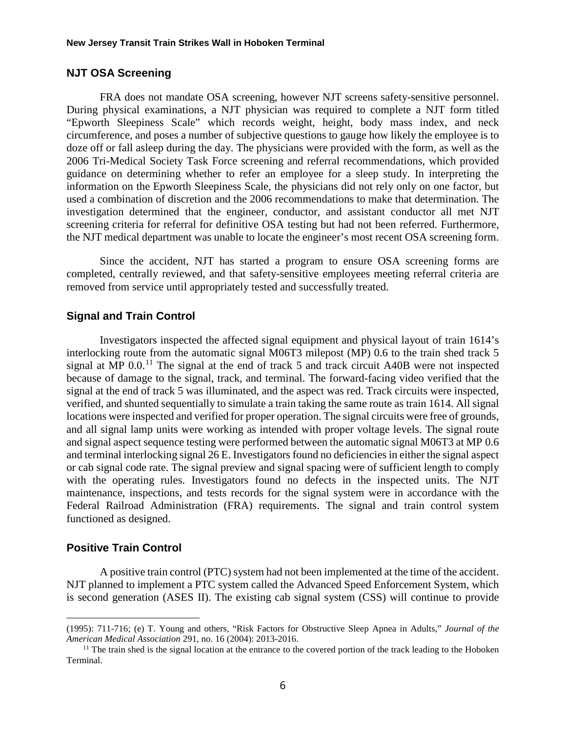### **NJT OSA Screening**

FRA does not mandate OSA screening, however NJT screens safety-sensitive personnel. During physical examinations, a NJT physician was required to complete a NJT form titled "Epworth Sleepiness Scale" which records weight, height, body mass index, and neck circumference, and poses a number of subjective questions to gauge how likely the employee is to doze off or fall asleep during the day. The physicians were provided with the form, as well as the 2006 Tri-Medical Society Task Force screening and referral recommendations, which provided guidance on determining whether to refer an employee for a sleep study. In interpreting the information on the Epworth Sleepiness Scale, the physicians did not rely only on one factor, but used a combination of discretion and the 2006 recommendations to make that determination. The investigation determined that the engineer, conductor, and assistant conductor all met NJT screening criteria for referral for definitive OSA testing but had not been referred. Furthermore, the NJT medical department was unable to locate the engineer's most recent OSA screening form.

Since the accident, NJT has started a program to ensure OSA screening forms are completed, centrally reviewed, and that safety-sensitive employees meeting referral criteria are removed from service until appropriately tested and successfully treated.

### **Signal and Train Control**

Investigators inspected the affected signal equipment and physical layout of train 1614's interlocking route from the automatic signal M06T3 milepost (MP) 0.6 to the train shed track 5 signal at MP  $0.0$ <sup>[11](#page-5-0)</sup>. The signal at the end of track 5 and track circuit A40B were not inspected because of damage to the signal, track, and terminal. The forward-facing video verified that the signal at the end of track 5 was illuminated, and the aspect was red. Track circuits were inspected, verified, and shunted sequentially to simulate a train taking the same route as train 1614. All signal locations were inspected and verified for proper operation. The signal circuits were free of grounds, and all signal lamp units were working as intended with proper voltage levels. The signal route and signal aspect sequence testing were performed between the automatic signal M06T3 at MP 0.6 and terminal interlocking signal 26 E. Investigators found no deficiencies in either the signal aspect or cab signal code rate. The signal preview and signal spacing were of sufficient length to comply with the operating rules. Investigators found no defects in the inspected units. The NJT maintenance, inspections, and tests records for the signal system were in accordance with the Federal Railroad Administration (FRA) requirements. The signal and train control system functioned as designed.

## **Positive Train Control**

A positive train control (PTC) system had not been implemented at the time of the accident. NJT planned to implement a PTC system called the Advanced Speed Enforcement System, which is second generation (ASES II). The existing cab signal system (CSS) will continue to provide

 <sup>(1995): 711-716;</sup> (e) T. Young and others, "Risk Factors for Obstructive Sleep Apnea in Adults," *Journal of the American Medical Association* 291, no. 16 (2004): 2013-2016.

<span id="page-5-0"></span> $<sup>11</sup>$  The train shed is the signal location at the entrance to the covered portion of the track leading to the Hoboken</sup> Terminal.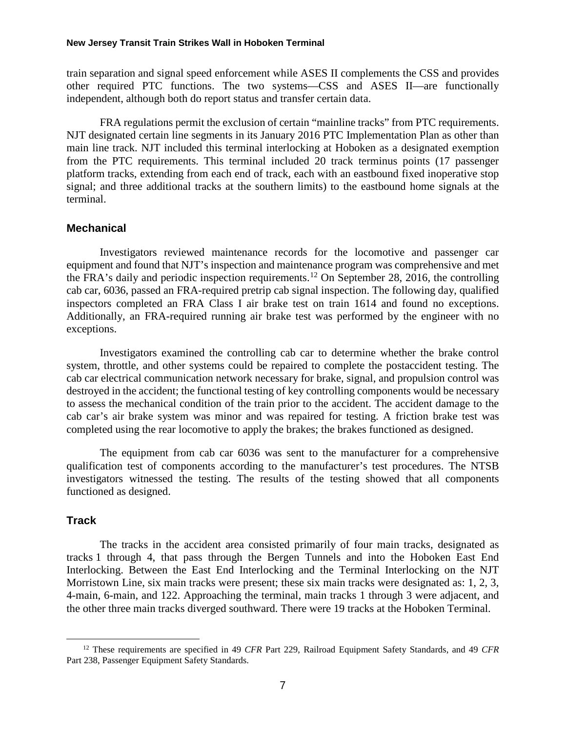train separation and signal speed enforcement while ASES II complements the CSS and provides other required PTC functions. The two systems—CSS and ASES II—are functionally independent, although both do report status and transfer certain data.

FRA regulations permit the exclusion of certain "mainline tracks" from PTC requirements. NJT designated certain line segments in its January 2016 PTC Implementation Plan as other than main line track. NJT included this terminal interlocking at Hoboken as a designated exemption from the PTC requirements. This terminal included 20 track terminus points (17 passenger platform tracks, extending from each end of track, each with an eastbound fixed inoperative stop signal; and three additional tracks at the southern limits) to the eastbound home signals at the terminal.

### **Mechanical**

Investigators reviewed maintenance records for the locomotive and passenger car equipment and found that NJT's inspection and maintenance program was comprehensive and met the FRA's daily and periodic inspection requirements.[12](#page-6-0) On September 28, 2016, the controlling cab car, 6036, passed an FRA-required pretrip cab signal inspection. The following day, qualified inspectors completed an FRA Class I air brake test on train 1614 and found no exceptions. Additionally, an FRA-required running air brake test was performed by the engineer with no exceptions.

Investigators examined the controlling cab car to determine whether the brake control system, throttle, and other systems could be repaired to complete the postaccident testing. The cab car electrical communication network necessary for brake, signal, and propulsion control was destroyed in the accident; the functional testing of key controlling components would be necessary to assess the mechanical condition of the train prior to the accident. The accident damage to the cab car's air brake system was minor and was repaired for testing. A friction brake test was completed using the rear locomotive to apply the brakes; the brakes functioned as designed.

The equipment from cab car 6036 was sent to the manufacturer for a comprehensive qualification test of components according to the manufacturer's test procedures. The NTSB investigators witnessed the testing. The results of the testing showed that all components functioned as designed.

## **Track**

The tracks in the accident area consisted primarily of four main tracks, designated as tracks 1 through 4, that pass through the Bergen Tunnels and into the Hoboken East End Interlocking. Between the East End Interlocking and the Terminal Interlocking on the NJT Morristown Line, six main tracks were present; these six main tracks were designated as: 1, 2, 3, 4-main, 6-main, and 122. Approaching the terminal, main tracks 1 through 3 were adjacent, and the other three main tracks diverged southward. There were 19 tracks at the Hoboken Terminal.

<span id="page-6-0"></span> <sup>12</sup> These requirements are specified in 49 *CFR* Part 229, Railroad Equipment Safety Standards, and 49 *CFR* Part 238, Passenger Equipment Safety Standards.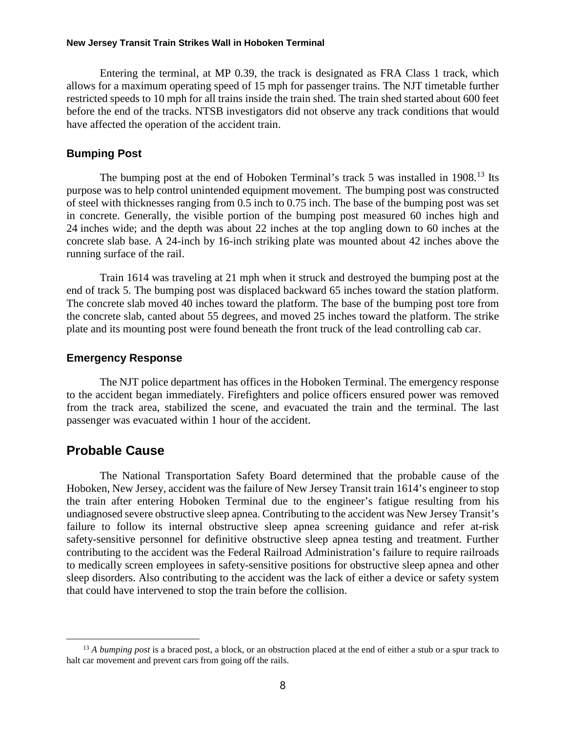Entering the terminal, at MP 0.39, the track is designated as FRA Class 1 track, which allows for a maximum operating speed of 15 mph for passenger trains. The NJT timetable further restricted speeds to 10 mph for all trains inside the train shed. The train shed started about 600 feet before the end of the tracks. NTSB investigators did not observe any track conditions that would have affected the operation of the accident train.

#### **Bumping Post**

The bumping post at the end of Hoboken Terminal's track 5 was installed in 1908.<sup>[13](#page-7-0)</sup> Its purpose was to help control unintended equipment movement. The bumping post was constructed of steel with thicknesses ranging from 0.5 inch to 0.75 inch. The base of the bumping post was set in concrete. Generally, the visible portion of the bumping post measured 60 inches high and 24 inches wide; and the depth was about 22 inches at the top angling down to 60 inches at the concrete slab base. A 24-inch by 16-inch striking plate was mounted about 42 inches above the running surface of the rail.

Train 1614 was traveling at 21 mph when it struck and destroyed the bumping post at the end of track 5. The bumping post was displaced backward 65 inches toward the station platform. The concrete slab moved 40 inches toward the platform. The base of the bumping post tore from the concrete slab, canted about 55 degrees, and moved 25 inches toward the platform. The strike plate and its mounting post were found beneath the front truck of the lead controlling cab car.

### **Emergency Response**

The NJT police department has offices in the Hoboken Terminal. The emergency response to the accident began immediately. Firefighters and police officers ensured power was removed from the track area, stabilized the scene, and evacuated the train and the terminal. The last passenger was evacuated within 1 hour of the accident.

## **Probable Cause**

The National Transportation Safety Board determined that the probable cause of the Hoboken, New Jersey, accident was the failure of New Jersey Transit train 1614's engineer to stop the train after entering Hoboken Terminal due to the engineer's fatigue resulting from his undiagnosed severe obstructive sleep apnea. Contributing to the accident was New Jersey Transit's failure to follow its internal obstructive sleep apnea screening guidance and refer at-risk safety-sensitive personnel for definitive obstructive sleep apnea testing and treatment. Further contributing to the accident was the Federal Railroad Administration's failure to require railroads to medically screen employees in safety-sensitive positions for obstructive sleep apnea and other sleep disorders. Also contributing to the accident was the lack of either a device or safety system that could have intervened to stop the train before the collision.

<span id="page-7-0"></span><sup>&</sup>lt;sup>13</sup> *A bumping post* is a braced post, a block, or an obstruction placed at the end of either a stub or a spur track to halt car movement and prevent cars from going off the rails.